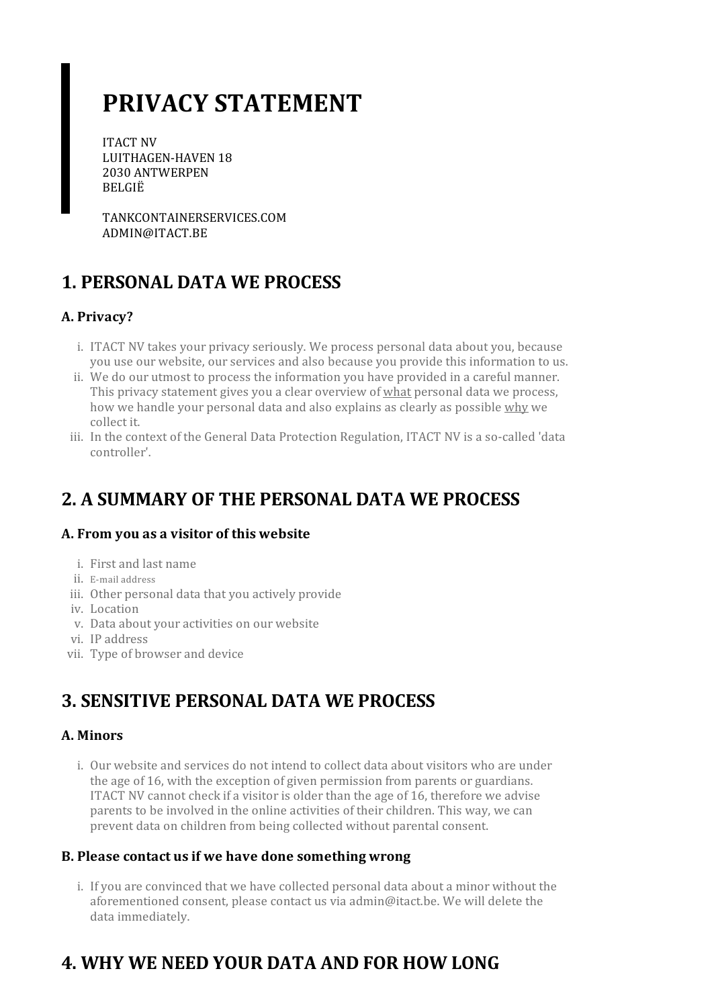# **PRIVACY STATEMENT**

ITACT NV LUITHAGEN-HAVEN 18 2030 ANTWERPEN BELGIË

TANKCONTAINERSERVICES.COM ADMIN@ITACT.BE

### **1. PERSONAL DATA WE PROCESS**

### **A. Privacy?**

- i. ITACT NV takes your privacy seriously. We process personal data about you, because you use our website, our services and also because you provide this information to us.
- ii. We do our utmost to process the information you have provided in a careful manner. This privacy statement gives you a clear overview of what personal data we process, how we handle your personal data and also explains as clearly as possible why we collect it.
- iii. In the context of the General Data Protection Regulation, ITACT NV is a so-called 'data controller'.

# **2. A SUMMARY OF THE PERSONAL DATA WE PROCESS**

#### **A. From you as a visitor of this website**

- i. First and last name
- ii. E-mail address
- iii. Other personal data that you actively provide
- iv. Location
- v. Data about your activities on our website
- vi. IP address
- vii. Type of browser and device

### **3. SENSITIVE PERSONAL DATA WE PROCESS**

#### **A. Minors**

i. Our website and services do not intend to collect data about visitors who are under the age of 16, with the exception of given permission from parents or guardians. ITACT NV cannot check if a visitoris olderthan the age of 16, therefore we advise parents to be involved in the online activities of their children. This way, we can prevent data on children from being collected without parental consent.

#### **B. Please contact usif we have done somethingwrong**

i. If you are convinced that we have collected personal data about a minor without the aforementioned consent, please contact us via admin@itact.be. We will delete the data immediately.

# **4. WHY WE NEED YOUR DATA AND FOR HOW LONG**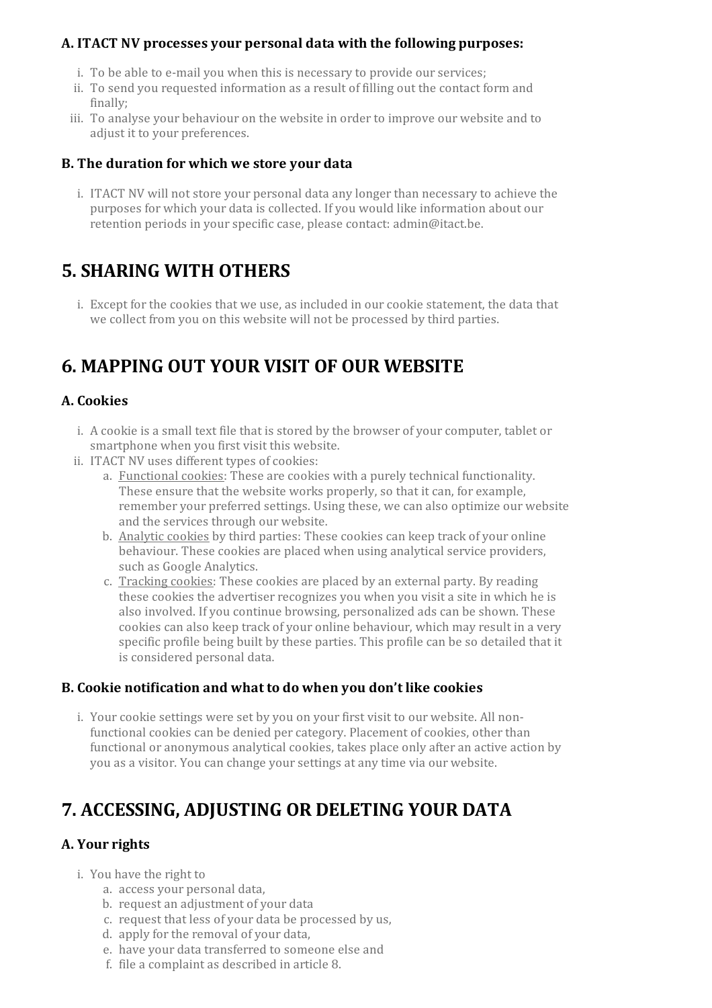#### **A. ITACT NV processes your personal data with the following purposes:**

- i. To be able to e-mail you when this is necessary to provide our services;
- ii. To send you requested information as a result of filling out the contact form and finally;
- iii. To analyse your behaviour on the website in order to improve our website and to adjust it to your preferences.

#### **B. The duration for which we store your data**

i. ITACT NV will not store your personal data any longerthan necessary to achieve the purposes for which your data is collected. If you would like information about our retention periods in your specific case, please contact: admin@itact.be.

### **5. SHARING WITH OTHERS**

i. Except for the cookies that we use, as included in our cookie statement, the data that we collect from you on this website will not be processed by third parties.

### **6. MAPPING OUT YOUR VISIT OF OUR WEBSITE**

#### **A. Cookies**

- i. A cookie is a small text file that is stored by the browser of your computer, tablet or smartphone when you first visit this website.
- ii. ITACT NV uses different types of cookies:
	- a. Functional cookies: These are cookies with a purely technical functionality. These ensure that the website works properly, so that it can, for example, remember your preferred settings. Using these, we can also optimize our website and the services through our website.
	- b. Analytic cookies by third parties: These cookies can keep track of your online behaviour. These cookies are placed when using analytical service providers, such as Google Analytics.
	- c. Tracking cookies: These cookies are placed by an external party. By reading these cookies the advertiser recognizes you when you visit a site in which he is also involved. If you continue browsing, personalized ads can be shown. These cookies can also keep track of your online behaviour, which may result in a very specific profile being built by these parties. This profile can be so detailed that it is considered personal data.

#### **B. Cookie notification and what to do when you don't like cookies**

i. Your cookie settings were set by you on your first visit to our website. All nonfunctional cookies can be denied per category. Placement of cookies, other than functional or anonymous analytical cookies, takes place only after an active action by you as a visitor. You can change yoursettings at any time via our website.

### **7. ACCESSING, ADJUSTING OR DELETING YOUR DATA**

### **A.** Your rights

- i. You have the right to
	- a. access your personal data,
	- b. request an adjustment of your data
	- c. request that less of your data be processed by us,
	- d. apply for the removal of your data,
	- e. have your data transferred to someone else and
	- f. file a complaint as described in article 8.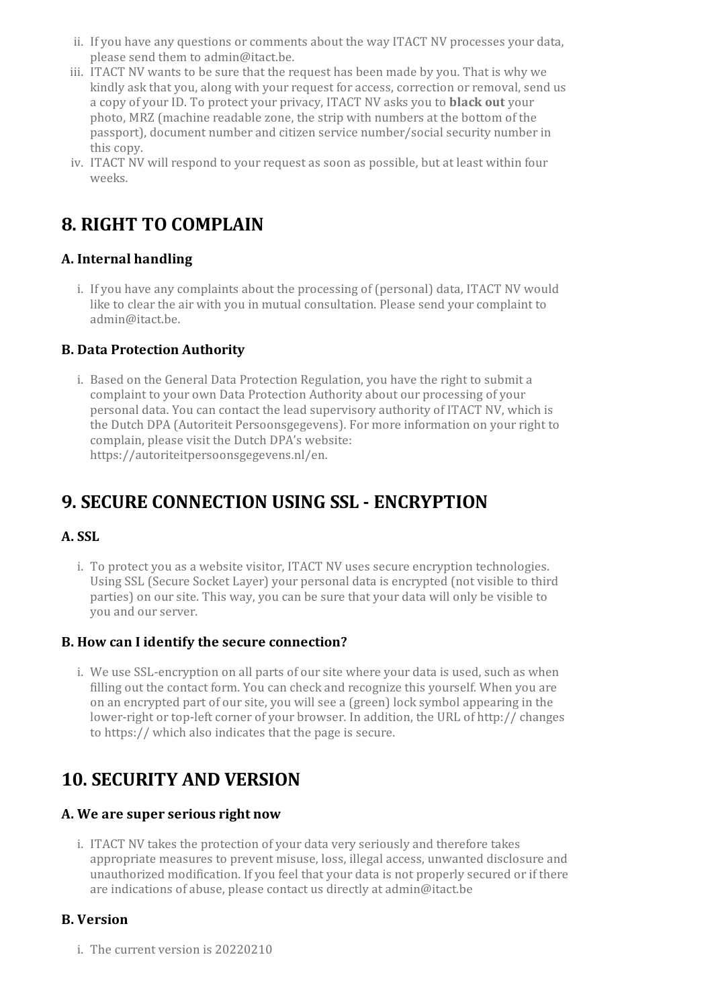- ii. If you have any questions orcomments about the way ITACT NV processes your data, please send them to admin@itact.be.
- iii. ITACT NV wants to be sure that the request has been made by you. That is why we kindly ask that you, along with your request for access, correction or removal, send us a copy of yourID. To protect your privacy, ITACT NV asks you to **black out** your photo, MRZ (machine readable zone, the strip with numbers at the bottom of the passport), document number and citizen service number/social security numberin this copy.
- iv. ITACT NV will respond to your request as soon as possible, but at least within four weeks.

# **8. RIGHT TO COMPLAIN**

### **A. Internal handling**

i. If you have any complaints about the processing of (personal) data, ITACT NV would like to clear the air with you in mutual consultation. Please send your complaint to admin@itact.be.

#### **B. Data Protection Authority**

i. Based on the General Data Protection Regulation, you have the right to submit a complaint to your own Data Protection Authority about our processing of your personal data. You can contact the lead supervisory authority of ITACT NV, which is the Dutch DPA (Autoriteit Persoonsgegevens). For more information on your right to complain, please visit the Dutch DPA's website: https://autoriteitpersoonsgegevens.nl/en.

# **9. SECURE CONNECTION USING SSL - ENCRYPTION**

### **A. SSL**

i. To protect you as a website visitor, ITACT NV uses secure encryption technologies. Using SSL (Secure Socket Layer) your personal data is encrypted (not visible to third parties) on oursite. This way, you can be sure that your data will only be visible to you and ourserver.

#### **B. How can I identify the secure connection?**

i. We use SSL-encryption on all parts of our site where your data is used, such as when filling out the contact form. You can check and recognize this yourself. When you are on an encrypted part of oursite, you will see a (green) lock symbol appearing in the lower-right or top-left corner of your browser. In addition, the URL of http:// changes to https:// which also indicates that the page is secure.

### **10. SECURITY AND VERSION**

#### **A. We are superseriousright now**

i. ITACT NV takes the protection of your data very seriously and therefore takes appropriate measures to prevent misuse, loss, illegal access, unwanted disclosure and unauthorized modification. If you feel that your data is not properly secured orif there are indications of abuse, please contact us directly at admin@itact.be

#### **B. Version**

i. The current version is 20220210